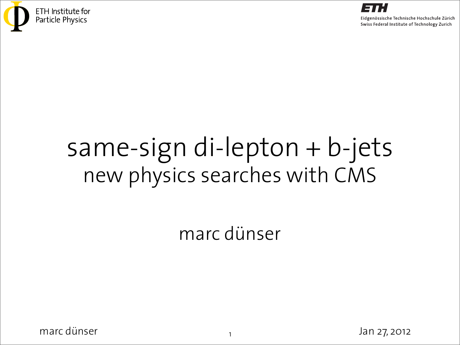



# same-sign di-lepton + b-jets new physics searches with CMS

#### marc dünser

 $\frac{1}{1}$  marc dünser Jan 27, 2012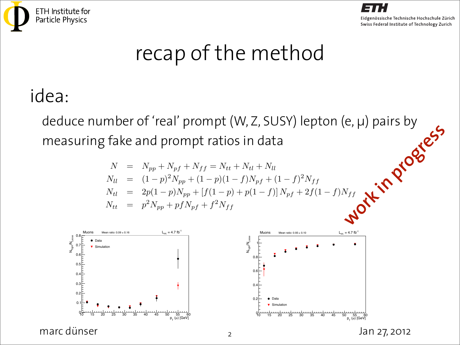



#### *recap of the method*

#### idea: harder of the two leptons in case of same-flavor pairs.  $\mathsf{P} \mathsf{A}$  is a between the true number of events containing two prompt, containing two prompt, containing two prompt,  $\mathsf{A} \mathsf{B}$

deduce number of 'real' prompt (W, Z, SUSY) lepton (e, µ) pairs by measuring fake and prompt ratios in data acaacchiamocrof ical prompt (vv, 2, 505) jicpton (c, p) pans by where  $\alpha$  is the with the loose criteria and writeria as  $\alpha$  . We then we have a set of  $\alpha$  is the set of  $\alpha$ **work in Progress** 

$$
N = N_{pp} + N_{pf} + N_{ff} = N_{tt} + N_{tl} + N_{ll}
$$
  
\n
$$
N_{ll} = (1-p)^2 N_{pp} + (1-p)(1-f)N_{pf} + (1-f)^2 N_{ff}
$$
  
\n
$$
N_{tl} = 2p(1-p)N_{pp} + [f(1-p) + p(1-f)]N_{pf} + 2f(1-f)N_{ff}
$$
  
\n
$$
N_{tt} = p^2 N_{pp} + pfN_{pf} + f^2 N_{ff}
$$



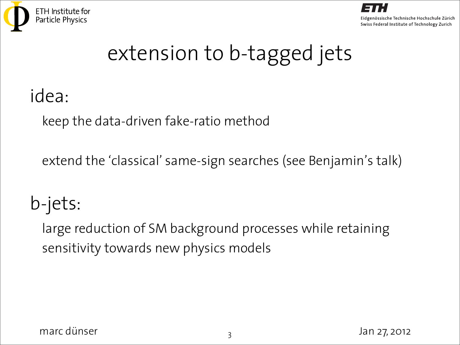



## extension to b-tagged jets

#### idea:

keep the data-driven fake-ratio method

extend the 'classical' same-sign searches (see Benjamin's talk)

## b-jets:

large reduction of SM background processes while retaining sensitivity towards new physics models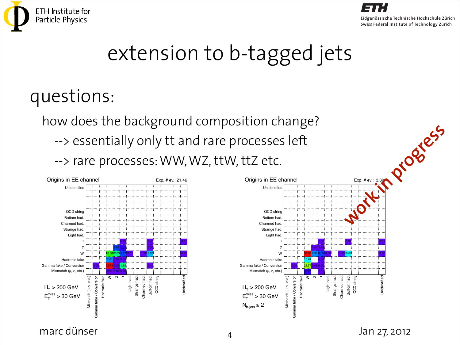



### extension to b-tagged jets

#### questions:

how does the background composition change? --> essentially only tt and rare processes left --> rare processes: WW, WZ, ttW, ttZ etc.





marc dünser Jan  $\frac{1}{4}$  Jan 27, 2012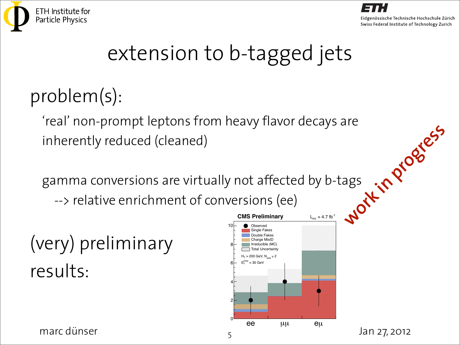



## extension to b-tagged jets

### problem(s):

'real' non-prompt leptons from heavy flavor decays are inherently reduced (cleaned)

gamma conversions are virtually not affected by b-tags --> relative enrichment of conversions (ee) **work in progress** 

# (very) preliminary results: